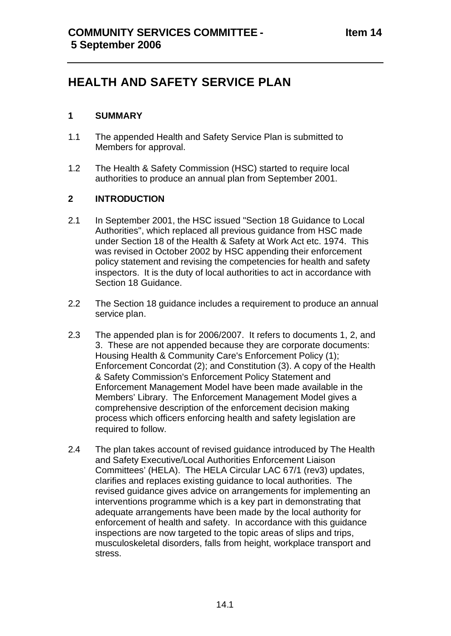# **HEALTH AND SAFETY SERVICE PLAN**

## **1 SUMMARY**

- 1.1 The appended Health and Safety Service Plan is submitted to Members for approval.
- 1.2 The Health & Safety Commission (HSC) started to require local authorities to produce an annual plan from September 2001.

## **2 INTRODUCTION**

- 2.1 In September 2001, the HSC issued "Section 18 Guidance to Local Authorities", which replaced all previous guidance from HSC made under Section 18 of the Health & Safety at Work Act etc. 1974. This was revised in October 2002 by HSC appending their enforcement policy statement and revising the competencies for health and safety inspectors. It is the duty of local authorities to act in accordance with Section 18 Guidance.
- 2.2 The Section 18 guidance includes a requirement to produce an annual service plan.
- 2.3 The appended plan is for 2006/2007. It refers to documents 1, 2, and 3. These are not appended because they are corporate documents: Housing Health & Community Care's Enforcement Policy (1); Enforcement Concordat (2); and Constitution (3). A copy of the Health & Safety Commission's Enforcement Policy Statement and Enforcement Management Model have been made available in the Members' Library. The Enforcement Management Model gives a comprehensive description of the enforcement decision making process which officers enforcing health and safety legislation are required to follow.
- 2.4 The plan takes account of revised guidance introduced by The Health and Safety Executive/Local Authorities Enforcement Liaison Committees' (HELA). The HELA Circular LAC 67/1 (rev3) updates, clarifies and replaces existing guidance to local authorities. The revised guidance gives advice on arrangements for implementing an interventions programme which is a key part in demonstrating that adequate arrangements have been made by the local authority for enforcement of health and safety. In accordance with this guidance inspections are now targeted to the topic areas of slips and trips, musculoskeletal disorders, falls from height, workplace transport and stress.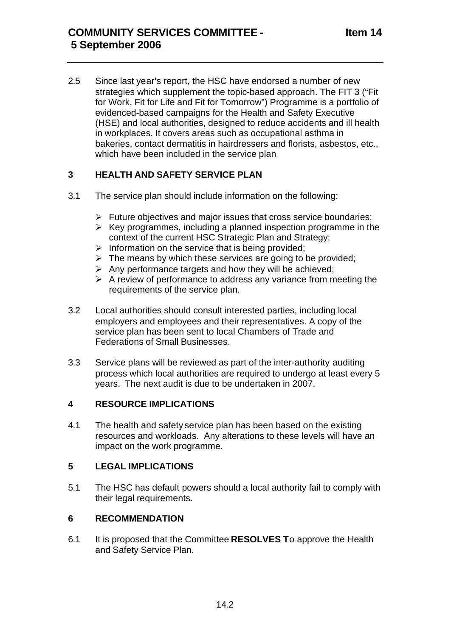2.5 Since last year's report, the HSC have endorsed a number of new strategies which supplement the topic-based approach. The FIT 3 ("Fit for Work, Fit for Life and Fit for Tomorrow") Programme is a portfolio of evidenced-based campaigns for the Health and Safety Executive (HSE) and local authorities, designed to reduce accidents and ill health in workplaces. It covers areas such as occupational asthma in bakeries, contact dermatitis in hairdressers and florists, asbestos, etc., which have been included in the service plan

## **3 HEALTH AND SAFETY SERVICE PLAN**

- 3.1 The service plan should include information on the following:
	- $\triangleright$  Future objectives and major issues that cross service boundaries;
	- $\triangleright$  Key programmes, including a planned inspection programme in the context of the current HSC Strategic Plan and Strategy;
	- $\triangleright$  Information on the service that is being provided;
	- $\triangleright$  The means by which these services are going to be provided;
	- $\triangleright$  Any performance targets and how they will be achieved:
	- $\triangleright$  A review of performance to address any variance from meeting the requirements of the service plan.
- 3.2 Local authorities should consult interested parties, including local employers and employees and their representatives. A copy of the service plan has been sent to local Chambers of Trade and Federations of Small Businesses.
- 3.3 Service plans will be reviewed as part of the inter-authority auditing process which local authorities are required to undergo at least every 5 years. The next audit is due to be undertaken in 2007.

## **4 RESOURCE IMPLICATIONS**

4.1 The health and safety service plan has been based on the existing resources and workloads. Any alterations to these levels will have an impact on the work programme.

#### **5 LEGAL IMPLICATIONS**

5.1 The HSC has default powers should a local authority fail to comply with their legal requirements.

#### **6 RECOMMENDATION**

6.1 It is proposed that the Committee **RESOLVES T**o approve the Health and Safety Service Plan.